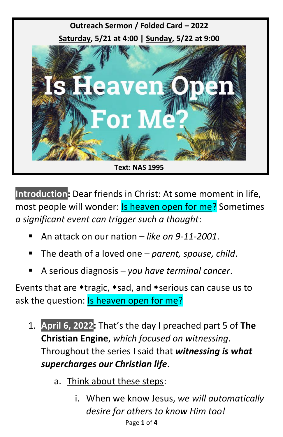

**Introduction:** Dear friends in Christ: At some moment in life, most people will wonder: **Is heaven open for me?** Sometimes *a significant event can trigger such a thought*:

- An attack on our nation *like on 9-11-2001*.
- The death of a loved one *parent, spouse, child.*
- A serious diagnosis *you have terminal cancer*.

Events that are  $*$ tragic,  $*$ sad, and  $*$ serious can cause us to ask the question: Is heaven open for me?

- 1. **April 6, 2022:** That's the day I preached part 5 of **The Christian Engine**, *which focused on witnessing*. Throughout the series I said that *witnessing is what supercharges our Christian life*.
	- a. Think about these steps:
		- Page **1** of **4** i. When we know Jesus, *we will automatically desire for others to know Him too!*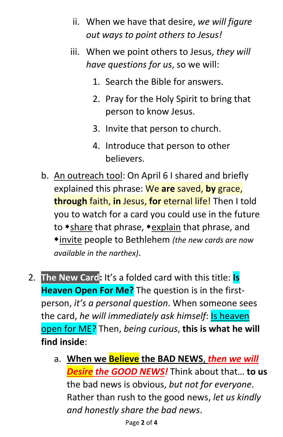- ii. When we have that desire, *we will figure out ways to point others to Jesus!*
- iii. When we point others to Jesus, *they will have questions for us*, so we will:
	- 1. Search the Bible for answers.
	- 2. Pray for the Holy Spirit to bring that person to know Jesus.
	- 3. Invite that person to church.
	- 4. Introduce that person to other believers.
- b. An outreach tool: On April 6 I shared and briefly explained this phrase: We **are** saved, **by** grace, **through** faith, **in** Jesus, **for** eternal life! Then I told you to watch for a card you could use in the future to \*share that phrase, \*explain that phrase, and invite people to Bethlehem *(the new cards are now available in the narthex)*.
- 2. **The New Card:** It's a folded card with this title: **Is Heaven Open For Me?** The question is in the firstperson, *it's a personal question*. When someone sees the card, *he will immediately ask himself*: Is heaven open for ME? Then, *being curious*, **this is what he will find inside**:
	- a. **When we Believe the BAD NEWS**, *then we will Desire the GOOD NEWS!* Think about that… **to us** the bad news is obvious, *but not for everyone*. Rather than rush to the good news, *let us kindly and honestly share the bad news*.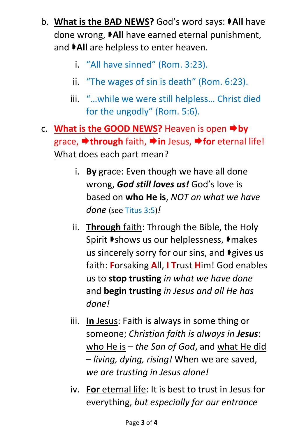- b. **What is the BAD NEWS?** God's word says: **All** have done wrong, **All** have earned eternal punishment, and  $\blacktriangleright$ All are helpless to enter heaven.
	- i. "All have sinned" (Rom. 3:23).
	- ii. "The wages of sin is death" (Rom. 6:23).
	- iii. "…while we were still helpless… Christ died for the ungodly" (Rom. 5:6).
- c. **What is the GOOD NEWS?** Heaven is open **by** grace, **→ through** faith, → in Jesus, → for eternal life! What does each part mean?
	- i. **By** grace: Even though we have all done wrong, *God still loves us!* God's love is based on **who He is**, *NOT on what we have done* (see Titus 3:5)*!*
	- ii. **Through** faith: Through the Bible, the Holy Spirit  $\blacktriangleright$ shows us our helplessness,  $\blacktriangleright$ makes us sincerely sorry for our sins, and  $\blacklozenge$  gives us faith: **F**orsaking **A**ll, **I T**rust **H**im! God enables us to **stop trusting** *in what we have done* and **begin trusting** *in Jesus and all He has done!*
	- iii. **In** Jesus: Faith is always in some thing or someone; *Christian faith is always in Jesus*: who He is – *the Son of God*, and what He did – *living, dying, rising!* When we are saved, *we are trusting in Jesus alone!*
	- iv. **For** eternal life: It is best to trust in Jesus for everything, *but especially for our entrance*